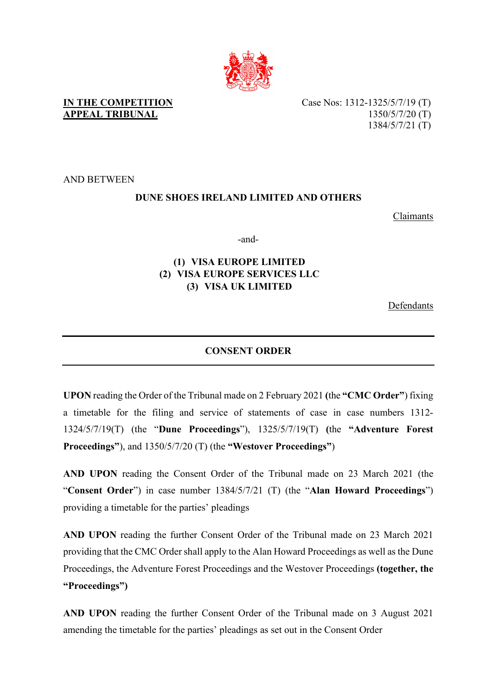

Case Nos: 1312-1325/5/7/19 (T) 1350/5/7/20 (T) 1384/5/7/21 (T)

AND BETWEEN

## **DUNE SHOES IRELAND LIMITED AND OTHERS**

Claimants

-and-

## **(1) VISA EUROPE LIMITED (2) VISA EUROPE SERVICES LLC (3) VISA UK LIMITED**

Defendants

## **CONSENT ORDER**

**UPON** reading the Order of the Tribunal made on 2 February 2021 **(**the **"CMC Order"**) fixing a timetable for the filing and service of statements of case in case numbers 1312- 1324/5/7/19(T) (the "**Dune Proceedings**"), 1325/5/7/19(T) **(**the **"Adventure Forest Proceedings"**), and 1350/5/7/20 (T) (the **"Westover Proceedings"**)

**AND UPON** reading the Consent Order of the Tribunal made on 23 March 2021 (the "**Consent Order**") in case number 1384/5/7/21 (T) (the "**Alan Howard Proceedings**") providing a timetable for the parties' pleadings

**AND UPON** reading the further Consent Order of the Tribunal made on 23 March 2021 providing that the CMC Order shall apply to the Alan Howard Proceedings as well as the Dune Proceedings, the Adventure Forest Proceedings and the Westover Proceedings **(together, the "Proceedings")** 

**AND UPON** reading the further Consent Order of the Tribunal made on 3 August 2021 amending the timetable for the parties' pleadings as set out in the Consent Order